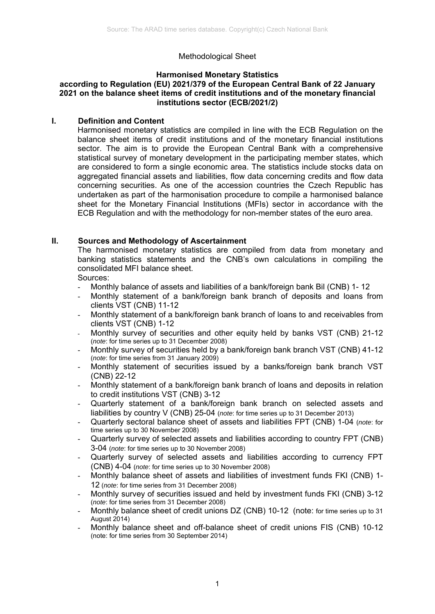# Methodological Sheet

## **Harmonised Monetary Statistics**

#### **according to Regulation (EU) 2021/379 of the European Central Bank of 22 January 2021 on the balance sheet items of credit institutions and of the monetary financial institutions sector (ECB/2021/2)**

## **I. Definition and Content**

Harmonised monetary statistics are compiled in line with the ECB Regulation on the balance sheet items of credit institutions and of the monetary financial institutions sector. The aim is to provide the European Central Bank with a comprehensive statistical survey of monetary development in the participating member states, which are considered to form a single economic area. The statistics include stocks data on aggregated financial assets and liabilities, flow data concerning credits and flow data concerning securities. As one of the accession countries the Czech Republic has undertaken as part of the harmonisation procedure to compile a harmonised balance sheet for the Monetary Financial Institutions (MFIs) sector in accordance with the ECB Regulation and with the methodology for non-member states of the euro area.

## **II. Sources and Methodology of Ascertainment**

The harmonised monetary statistics are compiled from data from monetary and banking statistics statements and the CNB's own calculations in compiling the consolidated MFI balance sheet.

Sources:

- Monthly balance of assets and liabilities of a bank/foreign bank Bil (CNB) 1-12
- Monthly statement of a bank/foreign bank branch of deposits and loans from clients VST (CNB) 11-12
- Monthly statement of a bank/foreign bank branch of loans to and receivables from clients VST (CNB) 1-12
- Monthly survey of securities and other equity held by banks VST (CNB) 21-12 (*note*: for time series up to 31 December 2008)
- Monthly survey of securities held by a bank/foreign bank branch VST (CNB) 41-12 (*note*: for time series from 31 January 2009)
- Monthly statement of securities issued by a banks/foreign bank branch VST (CNB) 22-12
- Monthly statement of a bank/foreign bank branch of loans and deposits in relation to credit institutions VST (CNB) 3-12
- Quarterly statement of a bank/foreign bank branch on selected assets and liabilities by country V (CNB) 25-04 (*note*: for time series up to 31 December 2013)
- Quarterly sectoral balance sheet of assets and liabilities FPT (CNB) 1-04 (*note*: for time series up to 30 November 2008)
- Quarterly survey of selected assets and liabilities according to country FPT (CNB) 3-04 (*note*: for time series up to 30 November 2008)
- Quarterly survey of selected assets and liabilities according to currency FPT (CNB) 4-04 (*note*: for time series up to 30 November 2008)
- Monthly balance sheet of assets and liabilities of investment funds FKI (CNB) 1- 12 (*note*: for time series from 31 December 2008)
- Monthly survey of securities issued and held by investment funds FKI (CNB) 3-12 (*note*: for time series from 31 December 2008)
- Monthly balance sheet of credit unions DZ (CNB) 10-12 (note: for time series up to 31 August 2014)
- Monthly balance sheet and off-balance sheet of credit unions FIS (CNB) 10-12 (note: for time series from 30 September 2014)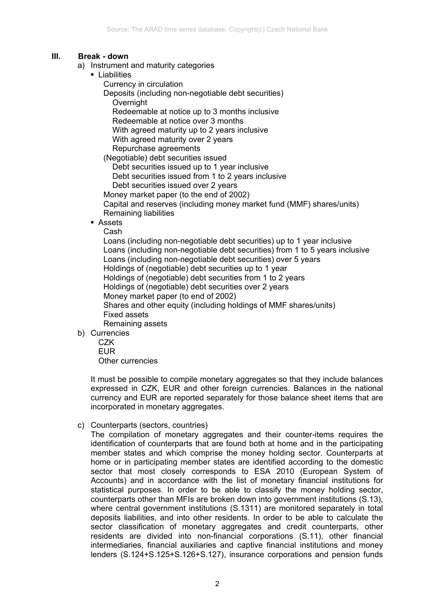## **III. Break - down**

- a) Instrument and maturity categories
	- **Liabilities** 
		- Currency in circulation
		- Deposits (including non-negotiable debt securities) **Overnight** 
			- Redeemable at notice up to 3 months inclusive
			- Redeemable at notice over 3 months
			- With agreed maturity up to 2 years inclusive

With agreed maturity over 2 years

Repurchase agreements

(Negotiable) debt securities issued

Debt securities issued up to 1 year inclusive

Debt securities issued from 1 to 2 years inclusive

Debt securities issued over 2 years

Money market paper (to the end of 2002)

Capital and reserves (including money market fund (MMF) shares/units) Remaining liabilities

**Assets** 

Cash

Loans (including non-negotiable debt securities) up to 1 year inclusive Loans (including non-negotiable debt securities) from 1 to 5 years inclusive Loans (including non-negotiable debt securities) over 5 years Holdings of (negotiable) debt securities up to 1 year Holdings of (negotiable) debt securities from 1 to 2 years Holdings of (negotiable) debt securities over 2 years Money market paper (to end of 2002) Shares and other equity (including holdings of MMF shares/units) Fixed assets Remaining assets

- b) Currencies
	- CZK EUR Other currencies

It must be possible to compile monetary aggregates so that they include balances expressed in CZK, EUR and other foreign currencies. Balances in the national currency and EUR are reported separately for those balance sheet items that are incorporated in monetary aggregates.

c) Counterparts (sectors, countries)

The compilation of monetary aggregates and their counter-items requires the identification of counterparts that are found both at home and in the participating member states and which comprise the money holding sector. Counterparts at home or in participating member states are identified according to the domestic sector that most closely corresponds to ESA 2010 (European System of Accounts) and in accordance with the list of monetary financial institutions for statistical purposes. In order to be able to classify the money holding sector, counterparts other than MFIs are broken down into government institutions (S.13), where central government institutions (S.1311) are monitored separately in total deposits liabilities, and into other residents. In order to be able to calculate the sector classification of monetary aggregates and credit counterparts, other residents are divided into non-financial corporations (S.11), other financial intermediaries, financial auxiliaries and captive financial institutions and money lenders (S.124+S.125+S.126+S.127), insurance corporations and pension funds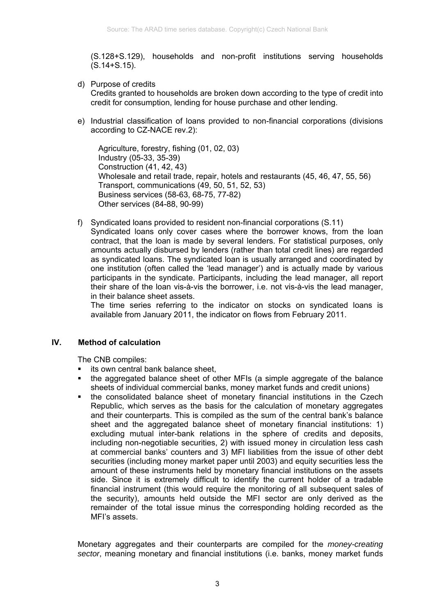(S.128+S.129), households and non-profit institutions serving households (S.14+S.15).

- d) Purpose of credits Credits granted to households are broken down according to the type of credit into credit for consumption, lending for house purchase and other lending.
- e) Industrial classification of loans provided to non-financial corporations (divisions according to CZ-NACE rev.2):

Agriculture, forestry, fishing (01, 02, 03) Industry (05-33, 35-39) Construction (41, 42, 43) Wholesale and retail trade, repair, hotels and restaurants (45, 46, 47, 55, 56) Transport, communications (49, 50, 51, 52, 53) Business services (58-63, 68-75, 77-82) Other services (84-88, 90-99)

f) Syndicated loans provided to resident non-financial corporations (S.11)

Syndicated loans only cover cases where the borrower knows, from the loan contract, that the loan is made by several lenders. For statistical purposes, only amounts actually disbursed by lenders (rather than total credit lines) are regarded as syndicated loans. The syndicated loan is usually arranged and coordinated by one institution (often called the 'lead manager') and is actually made by various participants in the syndicate. Participants, including the lead manager, all report their share of the loan vis-à-vis the borrower, i.e. not vis-à-vis the lead manager, in their balance sheet assets.

The time series referring to the indicator on stocks on syndicated loans is available from January 2011, the indicator on flows from February 2011.

## **IV. Method of calculation**

The CNB compiles:

- its own central bank balance sheet,
- the aggregated balance sheet of other MFIs (a simple aggregate of the balance sheets of individual commercial banks, money market funds and credit unions)
- the consolidated balance sheet of monetary financial institutions in the Czech Republic, which serves as the basis for the calculation of monetary aggregates and their counterparts. This is compiled as the sum of the central bank's balance sheet and the aggregated balance sheet of monetary financial institutions: 1) excluding mutual inter-bank relations in the sphere of credits and deposits, including non-negotiable securities, 2) with issued money in circulation less cash at commercial banks' counters and 3) MFI liabilities from the issue of other debt securities (including money market paper until 2003) and equity securities less the amount of these instruments held by monetary financial institutions on the assets side. Since it is extremely difficult to identify the current holder of a tradable financial instrument (this would require the monitoring of all subsequent sales of the security), amounts held outside the MFI sector are only derived as the remainder of the total issue minus the corresponding holding recorded as the MFI's assets.

Monetary aggregates and their counterparts are compiled for the *money-creating sector*, meaning monetary and financial institutions (i.e. banks, money market funds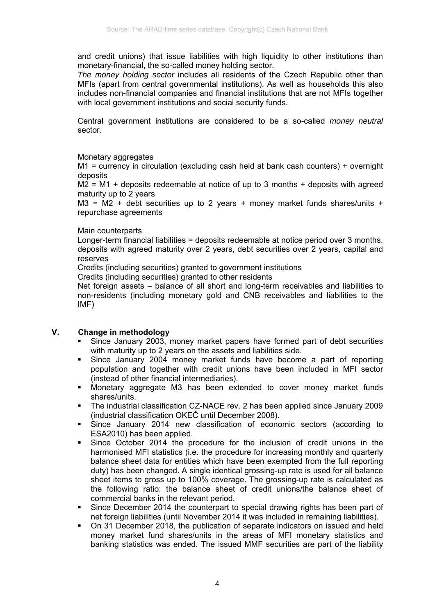and credit unions) that issue liabilities with high liquidity to other institutions than monetary-financial, the so-called money holding sector.

*The money holding sector* includes all residents of the Czech Republic other than MFIs (apart from central governmental institutions). As well as households this also includes non-financial companies and financial institutions that are not MFIs together with local government institutions and social security funds.

Central government institutions are considered to be a so-called *money neutral* sector.

## Monetary aggregates

M1 = currency in circulation (excluding cash held at bank cash counters) + overnight deposits

 $M2 = M1 +$  deposits redeemable at notice of up to 3 months + deposits with agreed maturity up to 2 years

 $M3 = M2 +$  debt securities up to 2 years + money market funds shares/units + repurchase agreements

## Main counterparts

Longer-term financial liabilities = deposits redeemable at notice period over 3 months, deposits with agreed maturity over 2 years, debt securities over 2 years, capital and reserves

Credits (including securities) granted to government institutions

Credits (including securities) granted to other residents

Net foreign assets – balance of all short and long-term receivables and liabilities to non-residents (including monetary gold and CNB receivables and liabilities to the IMF)

## **V. Change in methodology**

- Since January 2003, money market papers have formed part of debt securities with maturity up to 2 years on the assets and liabilities side.
- Since January 2004 money market funds have become a part of reporting population and together with credit unions have been included in MFI sector (instead of other financial intermediaries).
- Monetary aggregate M3 has been extended to cover money market funds shares/units.
- The industrial classification CZ-NACE rev. 2 has been applied since January 2009 (industrial classification OKEČ until December 2008).
- Since January 2014 new classification of economic sectors (according to ESA2010) has been applied.
- Since October 2014 the procedure for the inclusion of credit unions in the harmonised MFI statistics (i.e. the procedure for increasing monthly and quarterly balance sheet data for entities which have been exempted from the full reporting duty) has been changed. A single identical grossing-up rate is used for all balance sheet items to gross up to 100% coverage. The grossing-up rate is calculated as the following ratio: the balance sheet of credit unions/the balance sheet of commercial banks in the relevant period.
- Since December 2014 the counterpart to special drawing rights has been part of net foreign liabilities (until November 2014 it was included in remaining liabilities).
- On 31 December 2018, the publication of separate indicators on issued and held money market fund shares/units in the areas of MFI monetary statistics and banking statistics was ended. The issued MMF securities are part of the liability